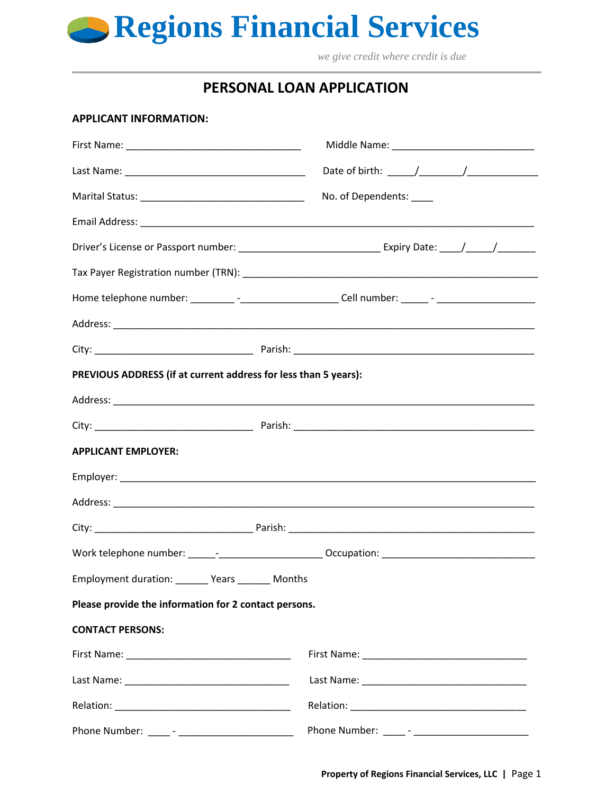**Regions Financial Services**

 *we give credit where credit is due*

# **PERSONAL LOAN APPLICATION**

#### **APPLICANT INFORMATION:**

|                                                                 | Date of birth: _____/__________/________________                                                     |  |
|-----------------------------------------------------------------|------------------------------------------------------------------------------------------------------|--|
|                                                                 | No. of Dependents:                                                                                   |  |
|                                                                 |                                                                                                      |  |
|                                                                 |                                                                                                      |  |
|                                                                 |                                                                                                      |  |
|                                                                 | Home telephone number: __________-______________________Cell number: ______- - _____________________ |  |
|                                                                 |                                                                                                      |  |
|                                                                 |                                                                                                      |  |
| PREVIOUS ADDRESS (if at current address for less than 5 years): |                                                                                                      |  |
|                                                                 |                                                                                                      |  |
|                                                                 |                                                                                                      |  |
| <b>APPLICANT EMPLOYER:</b>                                      |                                                                                                      |  |
|                                                                 |                                                                                                      |  |
|                                                                 |                                                                                                      |  |
|                                                                 |                                                                                                      |  |
|                                                                 | Work telephone number: ______-__________________________ Occupation: _______________________________ |  |
| Employment duration: _______ Years _______ Months               |                                                                                                      |  |
| Please provide the information for 2 contact persons.           |                                                                                                      |  |
| <b>CONTACT PERSONS:</b>                                         |                                                                                                      |  |
|                                                                 |                                                                                                      |  |
|                                                                 |                                                                                                      |  |
|                                                                 |                                                                                                      |  |
|                                                                 | Phone Number: _____ - __________________________                                                     |  |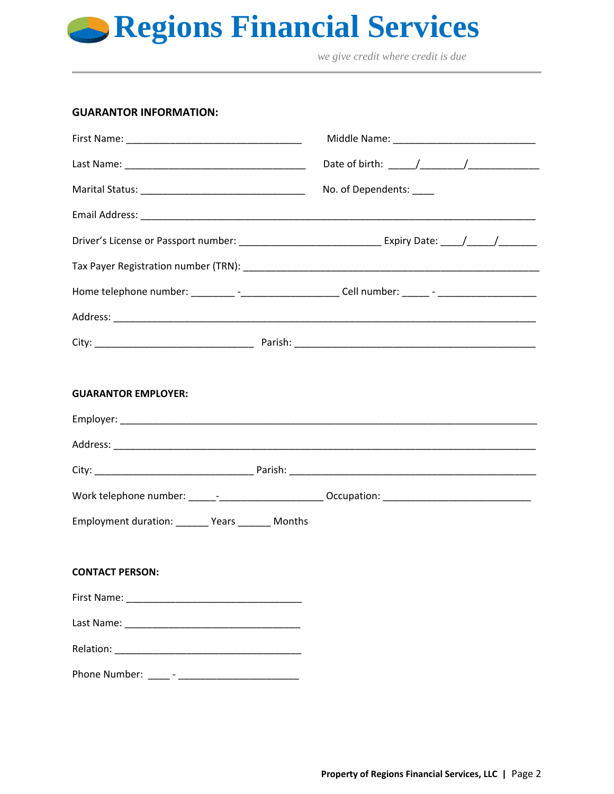

 *we give credit where credit is due*

## **GUARANTOR INFORMATION:**

|                                                                                                      | No. of Dependents: |
|------------------------------------------------------------------------------------------------------|--------------------|
|                                                                                                      |                    |
|                                                                                                      |                    |
|                                                                                                      |                    |
| Home telephone number: _________ -_______________________Cell number: ______ - ____________________  |                    |
|                                                                                                      |                    |
|                                                                                                      |                    |
|                                                                                                      |                    |
| <b>GUARANTOR EMPLOYER:</b>                                                                           |                    |
|                                                                                                      |                    |
|                                                                                                      |                    |
|                                                                                                      |                    |
| Work telephone number: _______________________________Occupation: __________________________________ |                    |
| Employment duration: _______ Years _______ Months                                                    |                    |
|                                                                                                      |                    |
| <b>CONTACT PERSON:</b>                                                                               |                    |
|                                                                                                      |                    |
|                                                                                                      |                    |
|                                                                                                      |                    |
|                                                                                                      |                    |